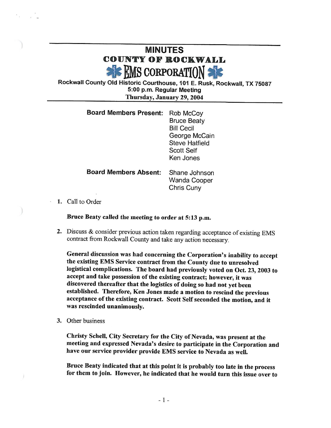## MINUTES COUNTY OF ROCKWALL **GEMS CORPORATION**

Rockwall County Old Historic Courthouse, 101 E. Rusk, Rockwall, TX 75087 5: 00 p. m. Regular Meeting Thursday, January 29, 2004

| <b>Board Members Present:</b> | Rob McCoy<br><b>Bruce Beaty</b><br><b>Bill Cecil</b><br>George McCain<br><b>Steve Hatfield</b><br><b>Scott Self</b><br>Ken Jones |
|-------------------------------|----------------------------------------------------------------------------------------------------------------------------------|
| <b>Board Members Absent:</b>  | Shane Johnson<br>Wanda Cooper<br>Chris Cuny                                                                                      |

1. Call to Order

Bruce Beaty called the meeting to order at 5: 13 p.m.

2. Discuss & consider previous action taken regarding acceptance of existing EMS contract from Rockwall County and take any action necessary.

General discussion was had concerning the Corporation's inability to accept the existing EMS Service contract from the County due to unresolved logistical complications. The board had previously voted on Oct. 23, 2003 to accept and take possession of the existing contract; however, it was discovered thereafter that the logistics of doing so had not yet been established. Therefore, Ken Jones made a motion to rescind the previous acceptance of the existing contract. Scott Self seconded the motion, and it was rescinded unanimously.

3. Other business

 $\mathbf{I}$ 

Christy Schell, City Secretary for the City of Nevada, was present at the meeting and expressed Nevada's desire to participate in the Corporation and have our service provider provide EMS service to Nevada as well.

Bruce Beaty indicated that at this point it is probably too late in the process for them to join. However, he indicated that he would turn this issue over to